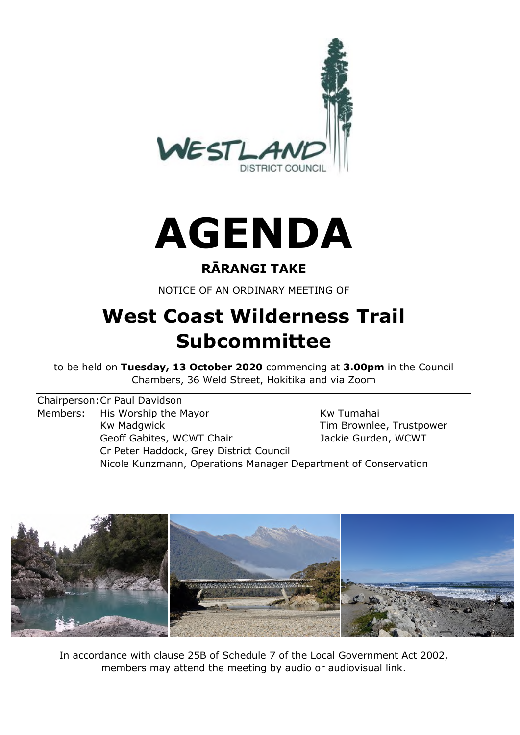

# **AGENDA**

### **RĀRANGI TAKE**

NOTICE OF AN ORDINARY MEETING OF

## **West Coast Wilderness Trail Subcommittee**

to be held on **Tuesday, 13 October 2020** commencing at **3.00pm** in the Council Chambers, 36 Weld Street, Hokitika and via Zoom

Chairperson: Cr Paul Davidson Members: His Worship the Mayor Members: His Worship the Mayor Kw Madgwick Tim Brownlee, Trustpower Geoff Gabites, WCWT Chair **Jackie Gurden, WCWT** Cr Peter Haddock, Grey District Council Nicole Kunzmann, Operations Manager Department of Conservation



In accordance with clause 25B of Schedule 7 of the Local Government Act 2002, members may attend the meeting by audio or audiovisual link.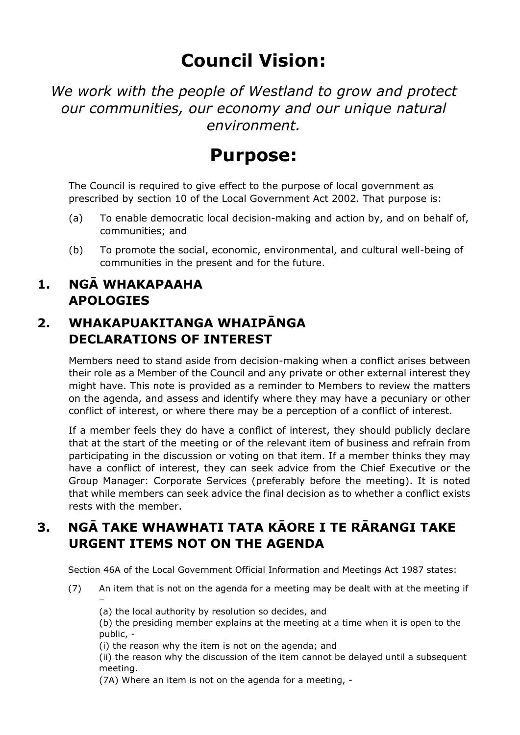## **Council Vision:**

*We work with the people of Westland to grow and protect our communities, our economy and our unique natural environment.* 

## **Purpose:**

The Council is required to give effect to the purpose of local government as prescribed by section 10 of the Local Government Act 2002. That purpose is:

- (a) To enable democratic local decision-making and action by, and on behalf of, communities; and
- (b) To promote the social, economic, environmental, and cultural well-being of communities in the present and for the future.

#### **1. NGĀ WHAKAPAAHA APOLOGIES**

#### **2. WHAKAPUAKITANGA WHAIPĀNGA DECLARATIONS OF INTEREST**

Members need to stand aside from decision-making when a conflict arises between their role as a Member of the Council and any private or other external interest they might have. This note is provided as a reminder to Members to review the matters on the agenda, and assess and identify where they may have a pecuniary or other conflict of interest, or where there may be a perception of a conflict of interest.

If a member feels they do have a conflict of interest, they should publicly declare that at the start of the meeting or of the relevant item of business and refrain from participating in the discussion or voting on that item. If a member thinks they may have a conflict of interest, they can seek advice from the Chief Executive or the Group Manager: Corporate Services (preferably before the meeting). It is noted that while members can seek advice the final decision as to whether a conflict exists rests with the member.

#### **3. NGĀ TAKE WHAWHATI TATA KĀORE I TE RĀRANGI TAKE URGENT ITEMS NOT ON THE AGENDA**

Section 46A of the Local Government Official Information and Meetings Act 1987 states:

(7) An item that is not on the agenda for a meeting may be dealt with at the meeting if –

(a) the local authority by resolution so decides, and

(b) the presiding member explains at the meeting at a time when it is open to the public, -

(i) the reason why the item is not on the agenda; and

(ii) the reason why the discussion of the item cannot be delayed until a subsequent meeting.

(7A) Where an item is not on the agenda for a meeting, -